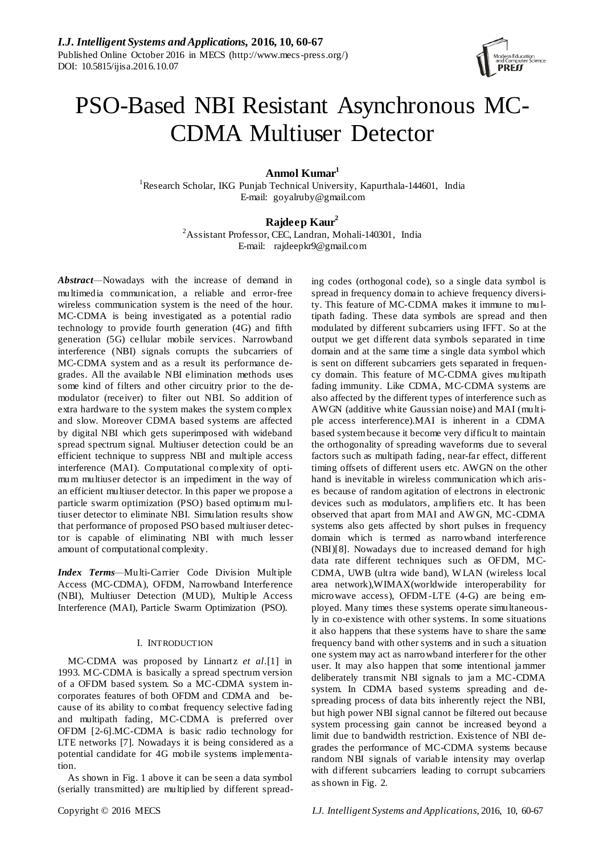

# PSO-Based NBI Resistant Asynchronous MC-CDMA Multiuser Detector

**Anmol Kumar<sup>1</sup>**

<sup>1</sup>Research Scholar, IKG Punjab Technical University, Kapurthala-144601, India E-mail: goyalruby@gmail.com

# **Rajdeep Kaur<sup>2</sup>**

<sup>2</sup>Assistant Professor, CEC, Landran, Mohali-140301, India E-mail: rajdeepkr9@gmail.com

*Abstract—*Nowadays with the increase of demand in multimedia communication, a reliable and error-free wireless communication system is the need of the hour. MC-CDMA is being investigated as a potential radio technology to provide fourth generation (4G) and fifth generation (5G) cellular mobile services. Narrowband interference (NBI) signals corrupts the subcarriers of MC-CDMA system and as a result its performance degrades. All the available NBI elimination methods uses some kind of filters and other circuitry prior to the demodulator (receiver) to filter out NBI. So addition of extra hardware to the system makes the system complex and slow. Moreover CDMA based systems are affected by digital NBI which gets superimposed with wideband spread spectrum signal. Multiuser detection could be an efficient technique to suppress NBI and multiple access interference (MAI). Computational complexity of optimum multiuser detector is an impediment in the way of an efficient multiuser detector. In this paper we propose a particle swarm optimization (PSO) based optimum mu ltiuser detector to eliminate NBI. Simulation results show that performance of proposed PSO based multiuser detector is capable of eliminating NBI with much lesser amount of computational complexity.

*Index Terms—*Multi-Carrier Code Division Multiple Access (MC-CDMA), OFDM, Narrowband Interference (NBI), Multiuser Detection (MUD), Multiple Access Interference (MAI), Particle Swarm Optimization (PSO).

## I. INTRODUCTION

MC-CDMA was proposed by Linnartz *et al*.[1] in 1993. MC-CDMA is basically a spread spectrum version of a OFDM based system. So a MC-CDMA system incorporates features of both OFDM and CDMA and because of its ability to combat frequency selective fading and multipath fading, MC-CDMA is preferred over OFDM [2-6].MC-CDMA is basic radio technology for LTE networks [7]. Nowadays it is being considered as a potential candidate for 4G mobile systems implementation.

As shown in Fig. 1 above it can be seen a data symbol (serially transmitted) are multiplied by different spread-

ing codes (orthogonal code), so a single data symbol is spread in frequency domain to achieve frequency diversity. This feature of MC-CDMA makes it immune to mu ltipath fading. These data symbols are spread and then modulated by different subcarriers using IFFT. So at the output we get different data symbols separated in time domain and at the same time a single data symbol which is sent on different subcarriers gets separated in frequency domain. This feature of MC-CDMA gives multipath fading immunity. Like CDMA, MC-CDMA systems are also affected by the different types of interference such as AWGN (additive white Gaussian noise) and MAI (multiple access interference).MAI is inherent in a CDMA based system because it become very difficult to maintain the orthogonality of spreading waveforms due to several factors such as multipath fading, near-far effect, different timing offsets of different users etc. AWGN on the other hand is inevitable in wireless communication which arises because of random agitation of electrons in electronic devices such as modulators, amplifiers etc. It has been observed that apart from MAI and AW GN, MC-CDMA systems also gets affected by short pulses in frequency domain which is termed as narrowband interference (NBI)[8]. Nowadays due to increased demand for high data rate different techniques such as OFDM, MC-CDMA, UWB (ultra wide band), W LAN (wireless local area network),WIMAX(worldwide interoperability for microwave access), OFDM-LTE (4-G) are being employed. Many times these systems operate simultaneously in co-existence with other systems. In some situations it also happens that these systems have to share the same frequency band with other systems and in such a situation one system may act as narrowband interferer for the other user. It may also happen that some intentional jammer deliberately transmit NBI signals to jam a MC-CDMA system. In CDMA based systems spreading and despreading process of data bits inherently reject the NBI, but high power NBI signal cannot be filtered out because system processing gain cannot be increased beyond a limit due to bandwidth restriction. Existence of NBI degrades the performance of MC-CDMA systems because random NBI signals of variable intensity may overlap with different subcarriers leading to corrupt subcarriers as shown in Fig. 2.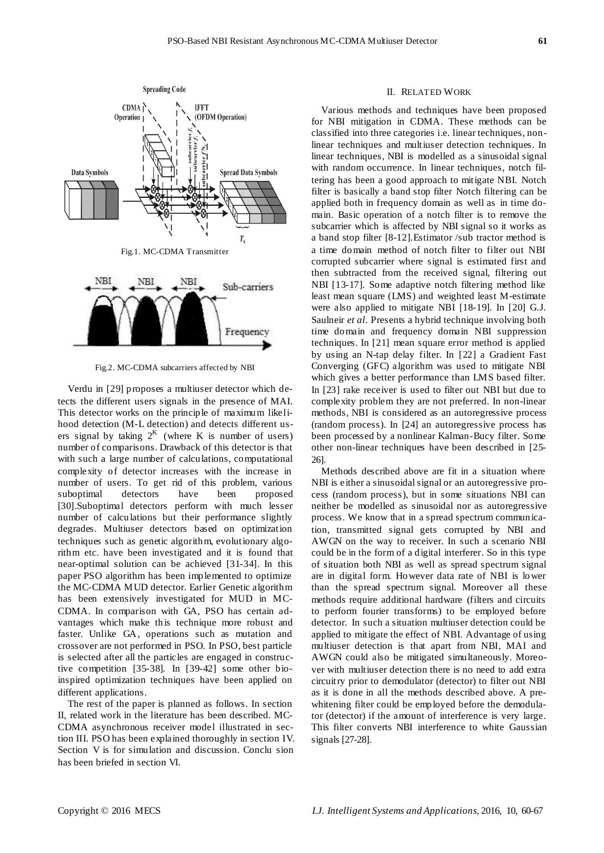

Fig.2. MC-CDMA subcarriers affected by NBI

Verdu in [29] proposes a multiuser detector which detects the different users signals in the presence of MAI. This detector works on the principle of maximum likelihood detection (M-L detection) and detects different users signal by taking  $2^{K}$  (where K is number of users) number of comparisons. Drawback of this detector is that with such a large number of calculations, computational complexity of detector increases with the increase in number of users. To get rid of this problem, various suboptimal detectors have been proposed [30].Suboptimal detectors perform with much lesser number of calculations but their performance slightly degrades. Multiuser detectors based on optimization techniques such as genetic algorithm, evolutionary algorithm etc. have been investigated and it is found that near-optimal solution can be achieved [31-34]. In this paper PSO algorithm has been implemented to optimize the MC-CDMA MUD detector. Earlier Genetic algorithm has been extensively investigated for MUD in MC-CDMA. In comparison with GA, PSO has certain advantages which make this technique more robust and faster. Unlike GA, operations such as mutation and crossover are not performed in PSO. In PSO, best particle is selected after all the particles are engaged in constructive competition [35-38]. In [39-42] some other bioinspired optimization techniques have been applied on different applications.

The rest of the paper is planned as follows. In section II, related work in the literature has been described. MC-CDMA asynchronous receiver model illustrated in section III. PSO has been explained thoroughly in section IV. Section V is for simulation and discussion. Conclu sion has been briefed in section VI.

## II. RELATED WORK

Various methods and techniques have been proposed for NBI mitigation in CDMA. These methods can be classified into three categories i.e. linear techniques, nonlinear techniques and multiuser detection techniques. In linear techniques, NBI is modelled as a sinusoidal signal with random occurrence. In linear techniques, notch filtering has been a good approach to mitigate NBI. Notch filter is basically a band stop filter Notch filtering can be applied both in frequency domain as well as in time domain. Basic operation of a notch filter is to remove the subcarrier which is affected by NBI signal so it works as a band stop filter [8-12].Estimator /sub tractor method is a time domain method of notch filter to filter out NBI corrupted subcarrier where signal is estimated first and then subtracted from the received signal, filtering out NBI [13-17]. Some adaptive notch filtering method like least mean square (LMS) and weighted least M-estimate were also applied to mitigate NBI [18-19]. In [20] G.J. Saulneir *et al*. Presents a hybrid technique involving both time domain and frequency domain NBI suppression techniques. In [21] mean square error method is applied by using an N-tap delay filter. In [22] a Gradient Fast Converging (GFC) algorithm was used to mitigate NBI which gives a better performance than LMS based filter. In [23] rake receiver is used to filter out NBI but due to complexity problem they are not preferred. In non-linear methods, NBI is considered as an autoregressive process (random process). In [24] an autoregressive process has been processed by a nonlinear Kalman-Bucy filter. Some other non-linear techniques have been described in [25- 26].

Methods described above are fit in a situation where NBI is either a sinusoidal signal or an autoregressive process (random process), but in some situations NBI can neither be modelled as sinusoidal nor as autoregressive process. We know that in a spread spectrum communication, transmitted signal gets corrupted by NBI and AWGN on the way to receiver. In such a scenario NBI could be in the form of a digital interferer. So in this type of situation both NBI as well as spread spectrum signal are in digital form. However data rate of NBI is lower than the spread spectrum signal. Moreover all these methods require additional hardware (filters and circuits to perform fourier transforms) to be employed before detector. In such a situation multiuser detection could be applied to mitigate the effect of NBI. Advantage of using multiuser detection is that apart from NBI, MAI and AWGN could also be mitigated simultaneously. Moreover with multiuser detection there is no need to add extra circuitry prior to demodulator (detector) to filter out NBI as it is done in all the methods described above. A prewhitening filter could be employed before the demodulator (detector) if the amount of interference is very large. This filter converts NBI interference to white Gaussian signals [27-28].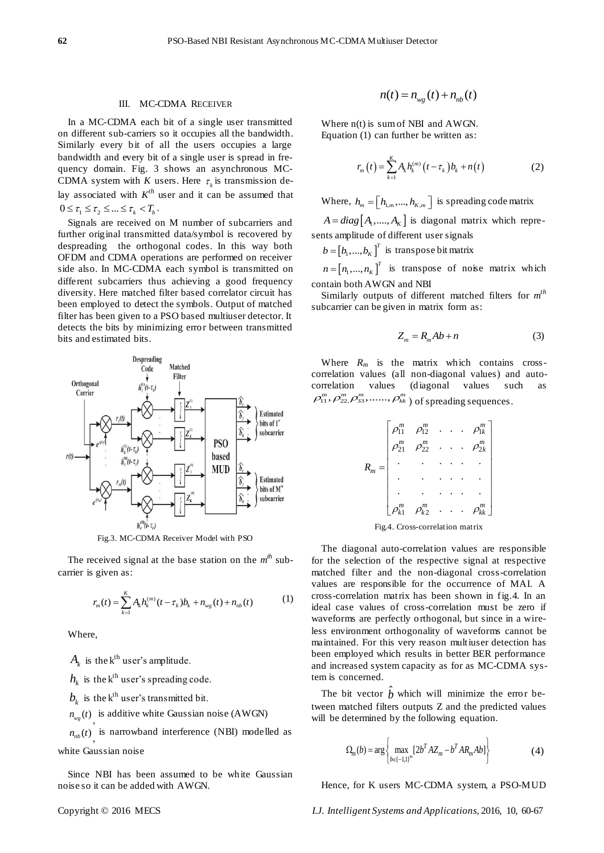#### III. MC-CDMA RECEIVER

In a MC-CDMA each bit of a single user transmitted on different sub-carriers so it occupies all the bandwidth. Similarly every bit of all the users occupies a large bandwidth and every bit of a single user is spread in frequency domain. Fig. 3 shows an asynchronous MC-CDMA system with *K* users. Here  $\tau_k$  is transmission delay associated with  $K^{th}$  user and it can be assumed that  $0 \leq \tau_1 \leq \tau_2 \leq ... \leq \tau_k < T_b$ .

Signals are received on M number of subcarriers and further original transmitted data/symbol is recovered by despreading the orthogonal codes. In this way both OFDM and CDMA operations are performed on receiver side also. In MC-CDMA each symbol is transmitted on different subcarriers thus achieving a good frequency diversity. Here matched filter based correlator circuit has been employed to detect the symbols. Output of matched filter has been given to a PSO based multiuser detector. It detects the bits by minimizing error between transmitted bits and estimated bits.



Fig.3. MC-CDMA Receiver Model with PSO

The received signal at the base station on the  $m^{th}$  subcarrier is given as:

$$
r_m(t) = \sum_{k=1}^{K} A_k h_k^{(m)}(t - \tau_k) b_k + n_{wg}(t) + n_{nb}(t)
$$
 (1)

Where,

 $A_k$  is the k<sup>th</sup> user's amplitude.

 $h_k$  is the  $k^{\text{th}}$  user's spreading code.

 $b_k$  is the k<sup>th</sup> user's transmitted bit.

 $n_{wg}(t)$  is additive white Gaussian noise (AWGN)

 $n_{nb}(t)$  is narrowband interference (NBI) modelled as white Gaussian noise

Since NBI has been assumed to be white Gaussian noise so it can be added with AWGN.

$$
n(t) = n_{wg}(t) + n_{nb}(t)
$$

Where n(t) is sum of NBI and AWGN. Equation (1) can further be written as:

$$
r_m(t) = \sum_{k=1}^{K} A_k h_k^{(m)}(t - \tau_k) b_k + n(t)
$$
 (2)

Where,  $h_m = [h_{1,m},...,h_{K,m}]$  is spreading code matrix

 $A = diag[A_1, ..., A_K]$  is diagonal matrix which represents amplitude of different user signals

 $b = [b_1, ..., b_K]^T$  is transpose bit matrix

 $n = [n_1, ..., n_K]^T$  is transpose of noise matrix which contain both AWGN and NBI

Similarly outputs of different matched filters for *m th* subcarrier can be given in matrix form as:

$$
Z_m = R_m A b + n \tag{3}
$$

Where  $R_m$  is the matrix which contains crosscorrelation values (all non-diagonal values) and autocorrelation values (diagonal values such as  $\rho_{11}^{m}, \rho_{22}^{m}, \rho_{33}^{m}, \ldots, \rho_{kk}^{m}$  of spreading sequences.

$$
R_{m} = \begin{bmatrix} \rho_{11}^{m} & \rho_{12}^{m} & \cdots & \rho_{1k}^{m} \\ \rho_{21}^{m} & \rho_{22}^{m} & \cdots & \rho_{2k}^{m} \\ \vdots & \vdots & \ddots & \vdots \\ \vdots & \vdots & \ddots & \vdots \\ \rho_{k1}^{m} & \rho_{k2}^{m} & \cdots & \rho_{kk}^{m} \end{bmatrix}
$$

Fig.4. Cross-correlation matrix

The diagonal auto-correlation values are responsible for the selection of the respective signal at respective matched filter and the non-diagonal cross-correlation values are responsible for the occurrence of MAI. A cross-correlation matrix has been shown in fig.4. In an ideal case values of cross-correlation must be zero if waveforms are perfectly orthogonal, but since in a wireless environment orthogonality of waveforms cannot be maintained. For this very reason multiuser detection has been employed which results in better BER performance and increased system capacity as for as MC-CDMA system is concerned.

The bit vector  *which will minimize the error be*tween matched filters outputs Z and the predicted values will be determined by the following equation.

$$
\Omega_m(b) = \arg \left\{ \max_{b \in [-1,1]^m} [2b^T A Z_m - b^T A R_m A b] \right\}
$$
(4)

Hence, for K users MC-CDMA system, a PSO-MUD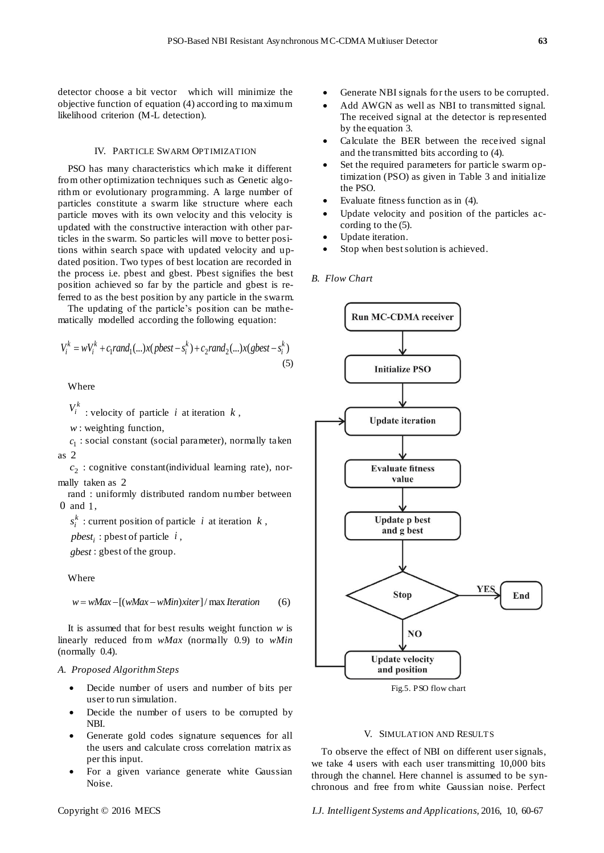detector choose a bit vector which will minimize the objective function of equation (4) according to maximum likelihood criterion (M-L detection).

## IV. PARTICLE SWARM OPTIMIZATION

PSO has many characteristics which make it different from other optimization techniques such as Genetic algorithm or evolutionary programming. A large number of particles constitute a swarm like structure where each particle moves with its own velocity and this velocity is updated with the constructive interaction with other particles in the swarm. So particles will move to better positions within search space with updated velocity and updated position. Two types of best location are recorded in the process i.e. pbest and gbest. Pbest signifies the best position achieved so far by the particle and gbest is referred to as the best position by any particle in the swarm.

The updating of the particle's position can be mathematically modelled according the following equation:

$$
V_i^k = wV_i^k + c_1 rand_1(...)x( pbest - s_i^k) + c_2 rand_2(...)x( gbest - s_i^k)
$$
\n(5)

Where

 $V_i^k$  : velocity of particle *i* at iteration *k*,

*w* : weighting function,

 $c_1$ : social constant (social parameter), normally taken as 2

2 *c* : cognitive constant(individual learning rate), normally taken as 2

rand : uniformly distributed random number between 0 and 1,

 $s_i^k$ : current position of particle *i* at iteration *k*,

*<sup>i</sup> pbest* : pbest of particle *i* ,

*gbest* : gbest of the group.

Where

$$
w = wMax - [(wMax - wMin)xiter] / max Iteration
$$
 (6)

It is assumed that for best results weight function *w* is linearly reduced from *wMax* (normally 0.9) to *wMin* (normally 0.4).

## *A. Proposed Algorithm Steps*

- Decide number of users and number of bits per user to run simulation.
- Decide the number of users to be corrupted by NBI.
- Generate gold codes signature sequences for all the users and calculate cross correlation matrix as per this input.
- For a given variance generate white Gaussian Noise.
- Generate NBI signals for the users to be corrupted.
- Add AWGN as well as NBI to transmitted signal. The received signal at the detector is represented by the equation 3.
- Calculate the BER between the received signal and the transmitted bits according to (4).
- Set the required parameters for particle swarm optimization (PSO) as given in Table 3 and initialize the PSO.
- Evaluate fitness function as in (4).
- Update velocity and position of the particles according to the (5).
- Update iteration.
- Stop when best solution is achieved.

## *B. Flow Chart*



Fig.5. PSO flow chart

#### V. SIMULATION AND RESULTS

To observe the effect of NBI on different user signals, we take 4 users with each user transmitting 10,000 bits through the channel. Here channel is assumed to be synchronous and free from white Gaussian noise. Perfect

Copyright © 2016 MECS *I.J. Intelligent Systems and Applications,* 2016, 10, 60-67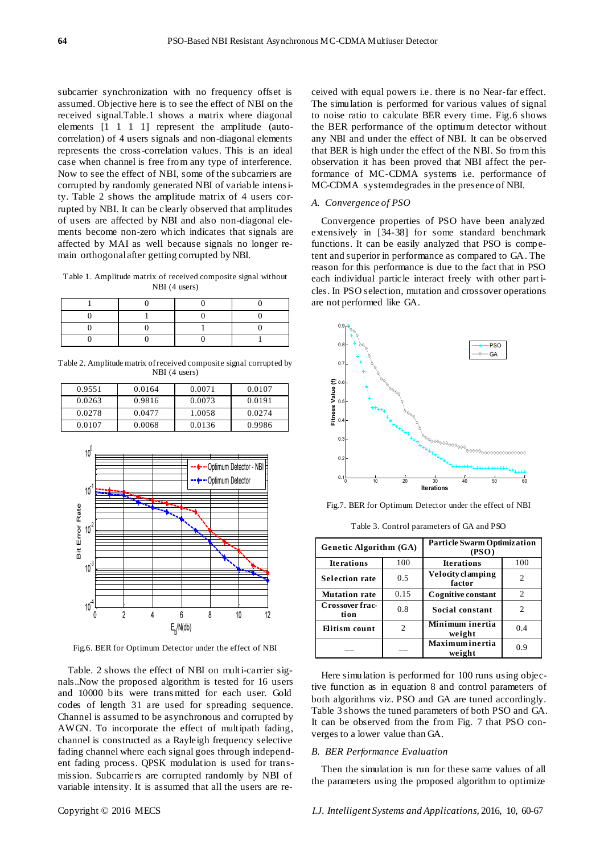subcarrier synchronization with no frequency offset is assumed. Objective here is to see the effect of NBI on the received signal.Table.1 shows a matrix where diagonal elements [1 1 1 1] represent the amplitude (autocorrelation) of 4 users signals and non-diagonal elements represents the cross-correlation values. This is an ideal case when channel is free from any type of interference. Now to see the effect of NBI, some of the subcarriers are corrupted by randomly generated NBI of variable intensity. Table 2 shows the amplitude matrix of 4 users corrupted by NBI. It can be clearly observed that amplitudes of users are affected by NBI and also non-diagonal elements become non-zero which indicates that signals are affected by MAI as well because signals no longer remain orthogonal after getting corrupted by NBI.

Table 1. Amplitude matrix of received composite signal without NBI (4 users)

Table 2. Amplitude matrix of received composite signal corrupted by NBI (4 users)

| 0.9551 | 0.0164 | 0.0071 | 0.0107 |
|--------|--------|--------|--------|
| 0.0263 | 0.9816 | 0.0073 | 0.0191 |
| 0.0278 | 0.0477 | 1.0058 | 0.0274 |
| 0.0107 | 0.0068 | 0.0136 | 0.9986 |



Fig.6. BER for Optimum Detector under the effect of NBI

Table. 2 shows the effect of NBI on multi-carrier signals..Now the proposed algorithm is tested for 16 users and 10000 bits were trans mitted for each user. Gold codes of length 31 are used for spreading sequence. Channel is assumed to be asynchronous and corrupted by AWGN. To incorporate the effect of multipath fading, channel is constructed as a Rayleigh frequency selective fading channel where each signal goes through independent fading process. QPSK modulation is used for transmission. Subcarriers are corrupted randomly by NBI of variable intensity. It is assumed that all the users are received with equal powers i.e. there is no Near-far effect. The simulation is performed for various values of signal to noise ratio to calculate BER every time. Fig.6 shows the BER performance of the optimum detector without any NBI and under the effect of NBI. It can be observed that BER is high under the effect of the NBI. So from this observation it has been proved that NBI affect the performance of MC-CDMA systems i.e. performance of MC-CDMA system degrades in the presence of NBI.

#### *A. Convergence of PSO*

Convergence properties of PSO have been analyzed extensively in [34-38] for some standard benchmark functions. It can be easily analyzed that PSO is competent and superior in performance as compared to GA. The reason for this performance is due to the fact that in PSO each individual particle interact freely with other part icles. In PSO selection, mutation and crossover operations are not performed like GA.



Fig.7. BER for Optimum Detector under the effect of NBI

Table 3. Control parameters of GA and PSO

| Genetic Algorithm (GA)  |      | <b>Particle Swarm Optimization</b><br>(PSO) |     |
|-------------------------|------|---------------------------------------------|-----|
| <b>Iterations</b>       | 100  | <b>Iterations</b>                           | 100 |
| <b>Selection rate</b>   | 0.5  | Velocity clamping<br>factor                 | 2   |
| <b>Mutation rate</b>    | 0.15 | Cognitive constant                          | 2   |
| Crossover frac-<br>tion | 0.8  | Social constant                             | 2   |
| Elitism count           | 2    | Minimum inertia<br>weight                   | 0.4 |
|                         |      | Maximuminertia<br>weight                    | 0.9 |

Here simulation is performed for 100 runs using objective function as in equation 8 and control parameters of both algorithms viz. PSO and GA are tuned accordingly. Table 3 shows the tuned parameters of both PSO and GA. It can be observed from the from Fig. 7 that PSO converges to a lower value than GA.

#### *B. BER Performance Evaluation*

Then the simulation is run for these same values of all the parameters using the proposed algorithm to optimize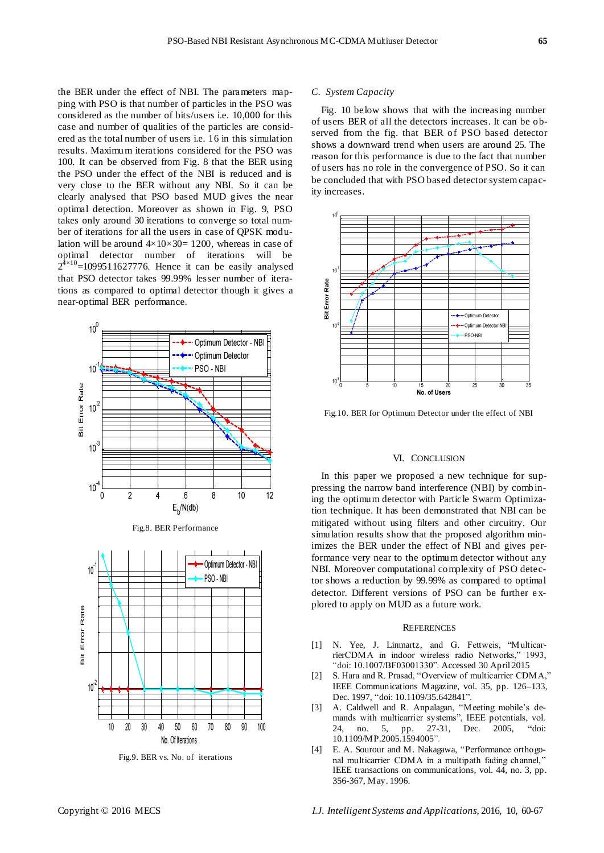the BER under the effect of NBI. The parameters mapping with PSO is that number of particles in the PSO was considered as the number of bits/users i.e. 10,000 for this case and number of qualities of the particles are considered as the total number of users i.e. 16 in this simulation results. Maximum iterations considered for the PSO was 100. It can be observed from Fig. 8 that the BER using the PSO under the effect of the NBI is reduced and is very close to the BER without any NBI. So it can be clearly analysed that PSO based MUD gives the near optimal detection. Moreover as shown in Fig. 9, PSO takes only around 30 iterations to converge so total number of iterations for all the users in case of QPSK modulation will be around  $4 \times 10 \times 30 = 1200$ , whereas in case of optimal detector number of iterations will be  $2^{4 \times 10}$ =1099511627776. Hence it can be easily analysed that PSO detector takes 99.99% lesser number of iterations as compared to optimal detector though it gives a near-optimal BER performance.



Fig.8. BER Performance



Fig.9. BER vs. No. of iterations

#### *C. System Capacity*

Fig. 10 below shows that with the increasing number of users BER of all the detectors increases. It can be observed from the fig. that BER of PSO based detector shows a downward trend when users are around 25. The reason for this performance is due to the fact that number of users has no role in the convergence of PSO. So it can be concluded that with PSO based detector system capacity increases.



Fig.10. BER for Optimum Detector under the effect of NBI

## VI. CONCLUSION

In this paper we proposed a new technique for suppressing the narrow band interference (NBI) by combining the optimum detector with Particle Swarm Optimization technique. It has been demonstrated that NBI can be mitigated without using filters and other circuitry. Our simulation results show that the proposed algorithm minimizes the BER under the effect of NBI and gives performance very near to the optimum detector without any NBI. Moreover computational complexity of PSO detector shows a reduction by 99.99% as compared to optimal detector. Different versions of PSO can be further e xplored to apply on MUD as a future work.

### **REFERENCES**

- [1] N. Yee, J. Linmartz, and G. Fettweis, "MulticarrierCDMA in indoor wireless radio Networks," 1993, "doi: 10.1007/BF03001330". Accessed 30 April 2015
- [2] S. Hara and R. Prasad, "Overview of multicarrier CDMA," IEEE Communications Magazine, vol. 35, pp. 126–133, Dec. 1997, "doi: [10.1109/35.642841"](http://dx.doi.org/10.1109/35.642841).
- [3] A. Caldwell and R. Anpalagan, "Meeting mobile's demands with multicarrier systems", IEEE potentials, vol. 24, no. 5, pp. 27-31, Dec. 2005, **"**doi: [10.1109/MP.2005.1594005"](http://dx.doi.org/10.1109/MP.2005.1594005).
- [4] E. A. Sourour and M. Nakagawa, "Performance orthogonal multicarrier CDMA in a multipath fading channel," IEEE transactions on communications, vol. 44, no. 3, pp. 356-367, May. 1996.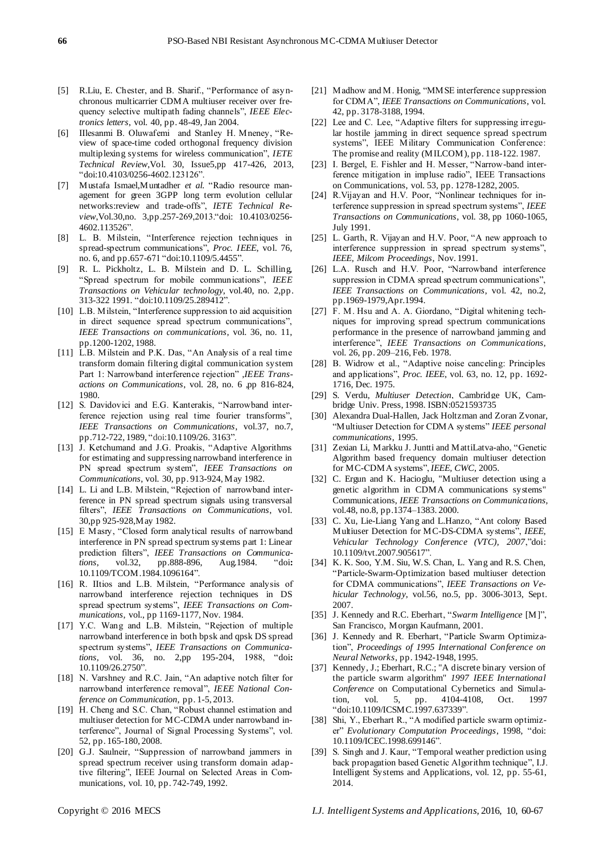- [5] R.Liu, E. Chester, and B. Sharif., "Performance of asynchronous multicarrier CDMA multiuser receiver over frequency selective multipath fading channels", *IEEE Electronics letters*, vol. 40, pp. 48-49, Jan 2004.
- [6] IIlesanmi B. Oluwafemi and Stanley H. Mneney, "Review of space-time coded orthogonal frequency division multiplexing systems for wireless communication", *IETE Technical Review*,Vol. 30, Issue5,pp 417-426, 2013, "doi:10.4103/0256-4602.123126".
- [7] Mustafa Ismael,Muntadher *et al.* "Radio resource management for green 3GPP long term evolution cellular networks:review and trade-offs", *IETE Technical Review*,Vol.30,no. 3,pp.257-269,2013."doi: 10.4103/0256- 4602.113526".
- [8] L. B. Milstein, "Interference rejection techniques in spread-spectrum communications", *Proc. IEEE*, vol. 76, no. 6, and pp.657-671 "do[i:10.1109/5.4455"](http://dx.doi.org/10.1109/5.4455).
- [9] R. L. Pickholtz, L. B. Milstein and D. L. Schilling, "Spread spectrum for mobile communications", *IEEE Transactions on Vehicular technology*, vol.40, no. 2,pp. 313-322 1991. "do[i:10.1109/25.289412"](http://dx.doi.org/10.1109/25.289412).
- [10] L.B. Milstein, "Interference suppression to aid acquisition in direct sequence spread spectrum communications", *IEEE Transactions on communications*, vol. 36, no. 11, pp.1200-1202, 1988.
- [11] L.B. Milstein and P.K. Das, "An Analysis of a real time transform domain filtering digital communication system Part 1: Narrowband interference rejection" ,*IEEE Transactions on Communications*, vol. 28, no. 6 ,pp 816-824, 1980.
- [12] S. Davidovici and E.G. Kanterakis, "Narrowband interference rejection using real time fourier transforms", *IEEE Transactions on Communications*, vol.37, no.7, pp.712-722, 1989, "do[i:10.1109/26. 3163"](http://dx.doi.org/10.1109/26.31163).
- [13] J. Ketchumand and J.G. Proakis, "Adaptive Algorithms for estimating and suppressing narrowband interference in PN spread spectrum system", *IEEE Transactions on Communications*, vol. 30, pp. 913-924, May 1982.
- [14] L. Li and L.B. Milstein, "Rejection of narrowband interference in PN spread spectrum signals using transversal filters", *IEEE Transactions on Communications*, vol. 30,pp 925-928,May 1982.
- [15] E Masry, "Closed form analytical results of narrowband interference in PN spread spectrum systems part 1: Linear prediction filters", *IEEE Transactions on Communications*, vol.32, pp.888-896, Aug.1984. "doi**:**  [10.1109/TCOM.1984.1096164"](http://dx.doi.org/10.1109/TCOM.1984.1096164).
- [16] R. IItios and L.B. Milstein, "Performance analysis of narrowband interference rejection techniques in DS spread spectrum systems", *IEEE Transactions on Communications*, vol., pp 1169-1177, Nov. 1984.
- [17] Y.C. Wang and L.B. Milstein, "Rejection of multiple narrowband interference in both bpsk and qpsk DS spread spectrum systems", *IEEE Transactions on Communications*, vol. 36, no. 2,pp 195-204, 1988, "doi**:**  [10.1109/26.2750"](http://dx.doi.org/10.1109/26.2750).
- [18] N. Varshney and R.C. Jain, "An adaptive notch filter for narrowband interference removal", *IEEE National Conference on Communication*, pp. 1-5, 2013.
- [19] H. Cheng and S.C. Chan, "Robust channel estimation and multiuser detection for MC-CDMA under narrowband interference", Journal of Signal Processing Systems", vol. 52, pp. 165-180, 2008.
- [20] G.J. Saulneir, "Suppression of narrowband jammers in spread spectrum receiver using transform domain adaptive filtering", IEEE Journal on Selected Areas in Communications, vol. 10, pp. 742-749, 1992.
- [21] Madhow and M. Honig, "MMSE interference suppression for CDMA", *IEEE Transactions on Communications*, vol. 42, pp. 3178-3188, 1994.
- [22] Lee and C. Lee, "Adaptive filters for suppressing irregular hostile jamming in direct sequence spread spectrum systems", IEEE Military Communication Conference: The promise and reality (MILCOM), pp. 118-122. 1987.
- [23] I. Bergel, E. Fishler and H. Messer, "Narrow-band interference mitigation in impluse radio", IEEE Transactions on Communications, vol. 53, pp. 1278-1282, 2005.
- [24] R.Vijayan and H.V. Poor, "Nonlinear techniques for interference suppression in spread spectrum systems", *IEEE Transactions on Communications*, vol. 38, pp 1060-1065, July 1991.
- [25] L. Garth, R. Vijayan and H.V. Poor, "A new approach to interference suppression in spread spectrum systems", *IEEE, Milcom Proceedings*, Nov. 1991.
- [26] L.A. Rusch and H.V. Poor, "Narrowband interference suppression in CDMA spread spectrum communications", *IEEE Transactions on Communications*, vol. 42, no.2, pp.1969-1979,Apr.1994.
- [27] F. M. Hsu and A. A. Giordano, "Digital whitening techniques for improving spread spectrum communications performance in the presence of narrowband jamming and interference", *IEEE Transactions on Communications*, vol. 26, pp. 209–216, Feb. 1978.
- [28] B. Widrow et al., "Adaptive noise canceling: Principles and applications", *Proc. IEEE*, vol. 63, no. 12, pp. 1692- 1716, Dec. 1975.
- [29] S. Verdu, *Multiuser Detection*, Cambridge UK, Cambridge Univ. Press, 1998. ISBN:0521593735
- [30] Alexandra Dual-Hallen, Jack Holtzman and Zoran Zvonar, "Multiuser Detection for CDMA systems" *IEEE personal communications*, 1995.
- [31] Zexian Li, Markku J. Juntti and MattiLatva-aho, "Genetic Algorithm based frequency domain multiuser detection for MC-CDMA systems", *IEEE, CWC*, 2005.
- [32] C. Ergun and K. Hacioglu, "Multiuser detection using a genetic algorithm in CDMA communications systems" Communications, *IEEE Transactions on Communications,* vol.48, no.8, pp.1374–1383. 2000.
- [33] C. Xu, Lie-Liang Yang and L.Hanzo, "Ant colony Based Multiuser Detection for MC-DS-CDMA systems", *IEEE, Vehicular Technology Conference (VTC), 2007*,"doi: [10.1109/tvt.2007.905617"](http://dx.doi.org/10.1109/TVT.2007.905617).
- [34] K. K. Soo, Y.M. Siu, W.S. Chan, L. Yang and R.S. Chen, "Particle-Swarm-Optimization based multiuser detection for CDMA communications", *IEEE Transactions on Vehicular Technology*, vol.56, no.5, pp. 3006-3013, Sept. 2007.
- [35] J. Kennedy and R.C. Eberhart, "*Swarm Intelligence* [M]", San Francisco, Morgan Kaufmann, 2001.
- [36] J. Kennedy and R. Eberhart, "Particle Swarm Optimization", *Proceedings of 1995 International Conference on Neural Networks*, pp. 1942-1948, 1995.
- [37] Kennedy, J.; Eberhart, R.C.; "A discrete binary version of the particle swarm algorithm" *1997 IEEE International Conference* on Computational Cybernetics and Simulation, vol. 5, pp. 4104-4108, Oct. 1997 "do[i:10.1109/ICSMC.1997.637339"](http://dx.doi.org/10.1109/ICSMC.1997.637339).
- [38] Shi, Y., Eberhart R., "A modified particle swarm optimizer" *Evolutionary Computation Proceedings*, 1998, "doi: [10.1109/ICEC.1998.699146"](http://dx.doi.org/10.1109/ICEC.1998.699146).
- [39] S. Singh and J. Kaur, "Temporal weather prediction using back propagation based Genetic Algorithm technique", I.J. Intelligent Systems and Applications, vol. 12, pp. 55-61, 2014.